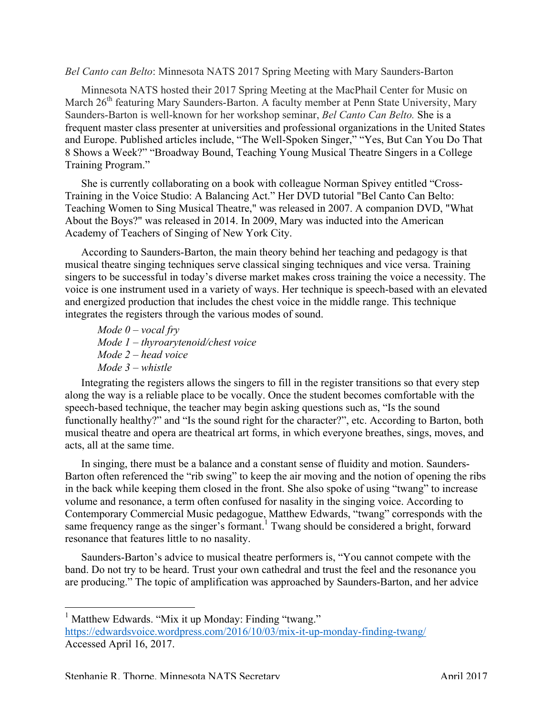## *Bel Canto can Belto*: Minnesota NATS 2017 Spring Meeting with Mary Saunders-Barton

Minnesota NATS hosted their 2017 Spring Meeting at the MacPhail Center for Music on March 26<sup>th</sup> featuring Mary Saunders-Barton. A faculty member at Penn State University, Mary Saunders-Barton is well-known for her workshop seminar, *Bel Canto Can Belto.* She is a frequent master class presenter at universities and professional organizations in the United States and Europe. Published articles include, "The Well-Spoken Singer," "Yes, But Can You Do That 8 Shows a Week?" "Broadway Bound, Teaching Young Musical Theatre Singers in a College Training Program."

She is currently collaborating on a book with colleague Norman Spivey entitled "Cross-Training in the Voice Studio: A Balancing Act." Her DVD tutorial "Bel Canto Can Belto: Teaching Women to Sing Musical Theatre," was released in 2007. A companion DVD, "What About the Boys?" was released in 2014. In 2009, Mary was inducted into the American Academy of Teachers of Singing of New York City.

According to Saunders-Barton, the main theory behind her teaching and pedagogy is that musical theatre singing techniques serve classical singing techniques and vice versa. Training singers to be successful in today's diverse market makes cross training the voice a necessity. The voice is one instrument used in a variety of ways. Her technique is speech-based with an elevated and energized production that includes the chest voice in the middle range. This technique integrates the registers through the various modes of sound.

*Mode 0 – vocal fry Mode 1 – thyroarytenoid/chest voice Mode 2 – head voice Mode 3 – whistle*

Integrating the registers allows the singers to fill in the register transitions so that every step along the way is a reliable place to be vocally. Once the student becomes comfortable with the speech-based technique, the teacher may begin asking questions such as, "Is the sound functionally healthy?" and "Is the sound right for the character?", etc. According to Barton, both musical theatre and opera are theatrical art forms, in which everyone breathes, sings, moves, and acts, all at the same time.

In singing, there must be a balance and a constant sense of fluidity and motion. Saunders-Barton often referenced the "rib swing" to keep the air moving and the notion of opening the ribs in the back while keeping them closed in the front. She also spoke of using "twang" to increase volume and resonance, a term often confused for nasality in the singing voice. According to Contemporary Commercial Music pedagogue, Matthew Edwards, "twang" corresponds with the same frequency range as the singer's formant.<sup>1</sup> Twang should be considered a bright, forward resonance that features little to no nasality.

Saunders-Barton's advice to musical theatre performers is, "You cannot compete with the band. Do not try to be heard. Trust your own cathedral and trust the feel and the resonance you are producing." The topic of amplification was approached by Saunders-Barton, and her advice

<sup>&</sup>lt;sup>1</sup> Matthew Edwards. "Mix it up Monday: Finding "twang."

https://edwardsvoice.wordpress.com/2016/10/03/mix-it-up-monday-finding-twang/ Accessed April 16, 2017.